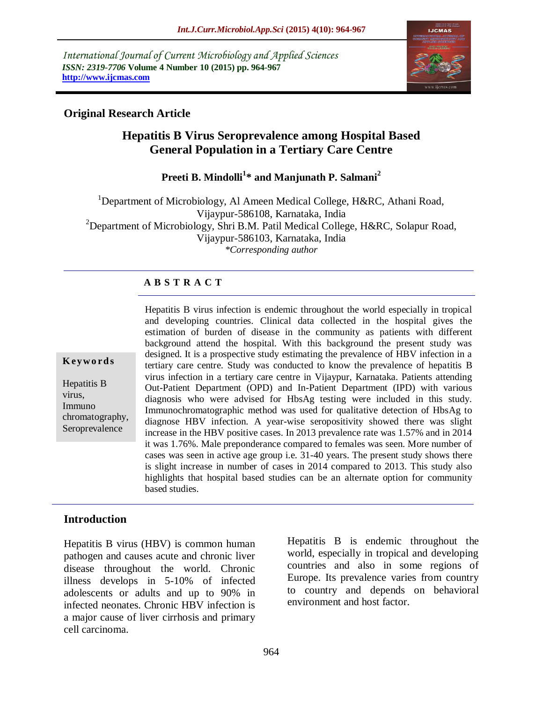*International Journal of Current Microbiology and Applied Sciences ISSN: 2319-7706* **Volume 4 Number 10 (2015) pp. 964-967 http://www.ijcmas.com** 



## **Original Research Article**

# **Hepatitis B Virus Seroprevalence among Hospital Based General Population in a Tertiary Care Centre**

**Preeti B. Mindolli<sup>1</sup> \* and Manjunath P. Salmani<sup>2</sup>**

<sup>1</sup>Department of Microbiology, Al Ameen Medical College, H&RC, Athani Road, Vijaypur-586108, Karnataka, India <sup>2</sup>Department of Microbiology, Shri B.M. Patil Medical College, H&RC, Solapur Road, Vijaypur-586103, Karnataka, India *\*Corresponding author*

### **A B S T R A C T**

#### **K ey w o rd s**

Hepatitis B virus, Immuno chromatography, Seroprevalence

Hepatitis B virus infection is endemic throughout the world especially in tropical and developing countries. Clinical data collected in the hospital gives the estimation of burden of disease in the community as patients with different background attend the hospital. With this background the present study was designed. It is a prospective study estimating the prevalence of HBV infection in a tertiary care centre. Study was conducted to know the prevalence of hepatitis B virus infection in a tertiary care centre in Vijaypur, Karnataka. Patients attending Out-Patient Department (OPD) and In-Patient Department (IPD) with various diagnosis who were advised for HbsAg testing were included in this study. Immunochromatographic method was used for qualitative detection of HbsAg to diagnose HBV infection. A year-wise seropositivity showed there was slight increase in the HBV positive cases. In 2013 prevalence rate was 1.57% and in 2014 it was 1.76%. Male preponderance compared to females was seen. More number of cases was seen in active age group i.e. 31-40 years. The present study shows there is slight increase in number of cases in 2014 compared to 2013. This study also highlights that hospital based studies can be an alternate option for community based studies.

### **Introduction**

Hepatitis B virus (HBV) is common human pathogen and causes acute and chronic liver disease throughout the world. Chronic illness develops in 5-10% of infected adolescents or adults and up to 90% in infected neonates. Chronic HBV infection is a major cause of liver cirrhosis and primary cell carcinoma.

Hepatitis B is endemic throughout the world, especially in tropical and developing countries and also in some regions of Europe. Its prevalence varies from country to country and depends on behavioral environment and host factor.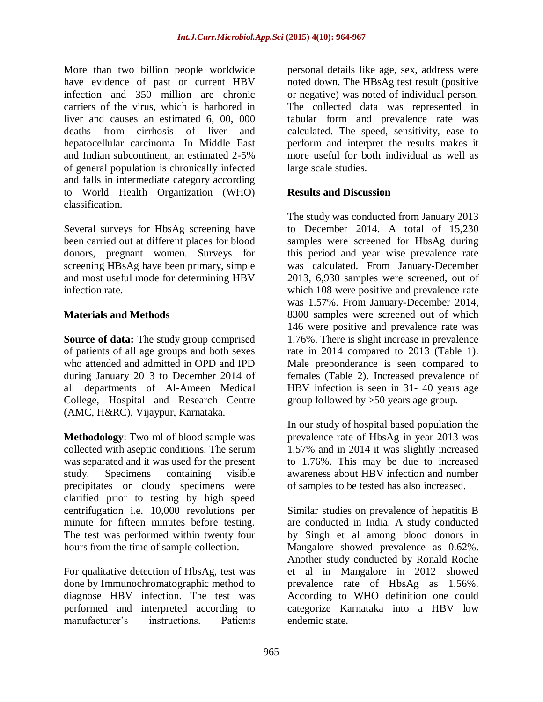More than two billion people worldwide have evidence of past or current HBV infection and 350 million are chronic carriers of the virus, which is harbored in liver and causes an estimated 6, 00, 000 deaths from cirrhosis of liver and hepatocellular carcinoma. In Middle East and Indian subcontinent, an estimated 2-5% of general population is chronically infected and falls in intermediate category according to World Health Organization (WHO) classification.

Several surveys for HbsAg screening have been carried out at different places for blood donors, pregnant women. Surveys for screening HBsAg have been primary, simple and most useful mode for determining HBV infection rate.

### **Materials and Methods**

**Source of data:** The study group comprised of patients of all age groups and both sexes who attended and admitted in OPD and IPD during January 2013 to December 2014 of all departments of Al-Ameen Medical College, Hospital and Research Centre (AMC, H&RC), Vijaypur, Karnataka.

**Methodology**: Two ml of blood sample was collected with aseptic conditions. The serum was separated and it was used for the present study. Specimens containing visible precipitates or cloudy specimens were clarified prior to testing by high speed centrifugation i.e. 10,000 revolutions per minute for fifteen minutes before testing. The test was performed within twenty four hours from the time of sample collection.

For qualitative detection of HbsAg, test was done by Immunochromatographic method to diagnose HBV infection. The test was performed and interpreted according to manufacturer's instructions. Patients personal details like age, sex, address were noted down. The HBsAg test result (positive or negative) was noted of individual person. The collected data was represented in tabular form and prevalence rate was calculated. The speed, sensitivity, ease to perform and interpret the results makes it more useful for both individual as well as large scale studies.

### **Results and Discussion**

The study was conducted from January 2013 to December 2014. A total of 15,230 samples were screened for HbsAg during this period and year wise prevalence rate was calculated. From January-December 2013, 6,930 samples were screened, out of which 108 were positive and prevalence rate was 1.57%. From January-December 2014, 8300 samples were screened out of which 146 were positive and prevalence rate was 1.76%. There is slight increase in prevalence rate in 2014 compared to 2013 (Table 1). Male preponderance is seen compared to females (Table 2). Increased prevalence of HBV infection is seen in 31- 40 years age group followed by >50 years age group.

In our study of hospital based population the prevalence rate of HbsAg in year 2013 was 1.57% and in 2014 it was slightly increased to 1.76%. This may be due to increased awareness about HBV infection and number of samples to be tested has also increased.

Similar studies on prevalence of hepatitis B are conducted in India. A study conducted by Singh et al among blood donors in Mangalore showed prevalence as 0.62%. Another study conducted by Ronald Roche et al in Mangalore in 2012 showed prevalence rate of HbsAg as 1.56%. According to WHO definition one could categorize Karnataka into a HBV low endemic state.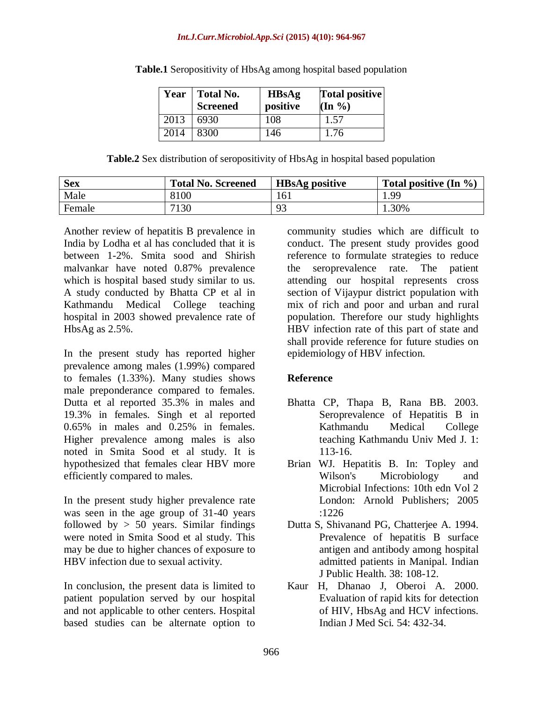#### *Int.J.Curr.Microbiol.App.Sci* **(2015) 4(10): 964-967**

| Year | <b>Total No.</b><br><b>Screened</b> | <b>HBsAg</b><br>positive | <b>Total positive</b><br>$(\text{In } \%)$ |
|------|-------------------------------------|--------------------------|--------------------------------------------|
| 2013 | 6930                                | 108                      | 1.57                                       |
| 2014 | 8300                                | 146                      | 1.76                                       |

|  | <b>Table.1</b> Seropositivity of HbsAg among hospital based population |  |  |  |  |
|--|------------------------------------------------------------------------|--|--|--|--|
|--|------------------------------------------------------------------------|--|--|--|--|

| Table.2 Sex distribution of seropositivity of HbsAg in hospital based population |  |  |  |  |
|----------------------------------------------------------------------------------|--|--|--|--|
|                                                                                  |  |  |  |  |

| <b>Sex</b> | <b>Total No. Screened</b> | <b>HBsAg positive</b> | Total positive $(In \mathcal{V}_0)$ |
|------------|---------------------------|-----------------------|-------------------------------------|
| Male       | 8100                      | 161                   | .99                                 |
| Female     | 7130                      | Q٢                    | 30%                                 |

Another review of hepatitis B prevalence in India by Lodha et al has concluded that it is between 1-2%. Smita sood and Shirish malvankar have noted 0.87% prevalence which is hospital based study similar to us. A study conducted by Bhatta CP et al in Kathmandu Medical College teaching hospital in 2003 showed prevalence rate of HbsAg as 2.5%.

In the present study has reported higher prevalence among males (1.99%) compared to females (1.33%). Many studies shows male preponderance compared to females. Dutta et al reported 35.3% in males and 19.3% in females. Singh et al reported 0.65% in males and 0.25% in females. Higher prevalence among males is also noted in Smita Sood et al study. It is hypothesized that females clear HBV more efficiently compared to males.

In the present study higher prevalence rate was seen in the age group of 31-40 years followed by  $> 50$  years. Similar findings were noted in Smita Sood et al study. This may be due to higher chances of exposure to HBV infection due to sexual activity.

In conclusion, the present data is limited to patient population served by our hospital and not applicable to other centers. Hospital based studies can be alternate option to

community studies which are difficult to conduct. The present study provides good reference to formulate strategies to reduce the seroprevalence rate. The patient attending our hospital represents cross section of Vijaypur district population with mix of rich and poor and urban and rural population. Therefore our study highlights HBV infection rate of this part of state and shall provide reference for future studies on epidemiology of HBV infection.

# **Reference**

- Bhatta CP, Thapa B, Rana BB. 2003. Seroprevalence of Hepatitis B in Kathmandu Medical College teaching Kathmandu Univ Med J. 1: 113-16.
- Brian WJ. Hepatitis B. In: Topley and Wilson's Microbiology and Microbial Infections: 10th edn Vol 2 London: Arnold Publishers; 2005 :1226
- Dutta S, Shivanand PG, Chatterjee A. 1994. Prevalence of hepatitis B surface antigen and antibody among hospital admitted patients in Manipal. Indian J Public Health. 38: 108-12.
- Kaur H, Dhanao J, Oberoi A. 2000. Evaluation of rapid kits for detection of HIV, HbsAg and HCV infections. Indian J Med Sci. 54: 432-34.